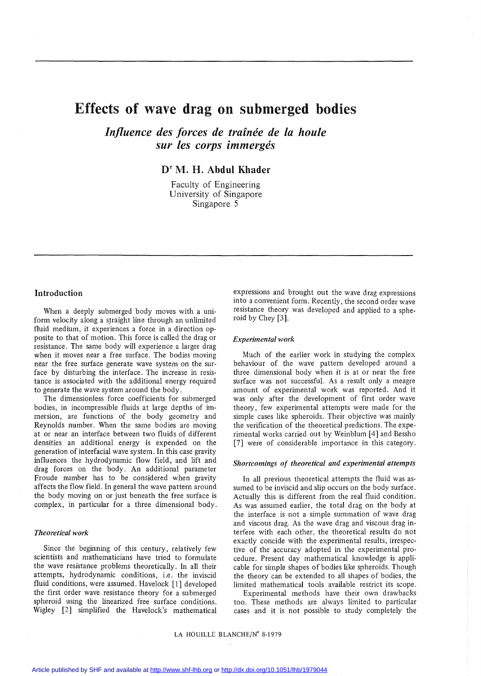# Effects of wave drag on submerged bodies

*Influence des forces de traînée de la houle sur les corps immergés*

Dr M. H. Abdul Khader

Faculty of Engineering University of Singapore Singapore 5

# Introduction

When a deeply submerged body moves with a uniform velocity along a straight line through an unlimited fluid medium, it experiences a force in a direction opposite to that of motion. This force is called the drag or resistance. The same body will experience a larger drag when it moves near a free surface. The bodies moving near the free surface generate wave system on the surface by disturbing the interface. The increase in resistance is associated with the additional energy required to generate the wave system around the body.

The dimensionless force coefficients for submerged bodies, in incompressible fluids at large depths of immersion, are functions of the body geometry and Reynolds number. When the same bodies are moving at or near an interface between two fluids of different densities an additional energy is expended on the generation of interfacial wave system. In this case gravity influences the hydrodynamic flow field, and lift and drag forces on the body. An additional parameter Froude number has to be considered when gravity affects the flow field. In general the wave pattern around the body moving on or just beneath the free surface is complex, in particular for a three dimensional body.

# *Theoretical work*

Since the beginning of this century, relatively few scientists and mathematicians have tried to formulate the wave resistance problems theoretically. In all their attempts, hydrodynamic conditions, i.e. the inviscid fluid conditions, were assumed. Havelock [l] developed the first order wave resistance theory for a submerged spheroid using the linearized free surface conditions. Wigley [2] simplified the Havelock's mathematical expressions and brought out the wave drag expressions into a convenient form. Recently, the second order wave resistance theory was developed and applied to a spheroid by Chey [3].

#### *Experimental work*

Much of the earlier work in studying the complex behaviour of the wave pattern developed around a three dimensional body when it is at or near the free surface was not successful. As a result only a meagre amount of experimental work was reported. And it was only after the development of first order wave theory, few experimental attempts were made for the simple cases like spheroids. Their objective was mainly the verification of the theoretical predictions. The experimental works carried out by Weinblum [4] and Bessho [7] were of considerable importance in this category.

## *Shortcomings of theoretical and experimental attempts*

In aIl previous theoretical attempts the fluid was assumed to be inviscid and slip occurs on the body surface. Actually this is different from the real fluid condition. As was assumed earlier, the total drag on the body at the interface is not a simple summation of wave drag and viscous drag. As the wave drag and viscous drag interfere with each other, the theoretical results do not exactly concide with the experimental results, irrespective of the accuracy adopted in the experimental procedure. Present day mathematical knowledge is applicable for simple shapes of bodies like spheroids. Though the theory can be extended to all shapes of bodies, the limited mathematical tools available restrict its scope.

Experimental methods have their own drawbacks too. These methods are always limited to particular cases and it is not possible to study completely the

# LA HOUILLE BLANCHE/N° 8-1979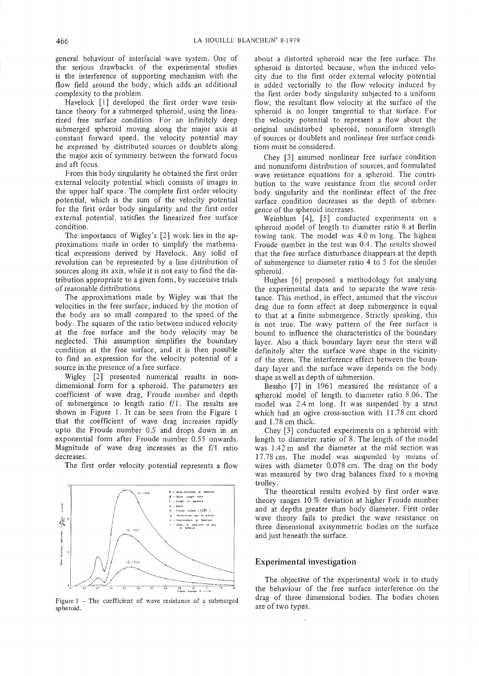general behaviour of interfacial wave system. One of the serious drawbacks of the experimental studies is the interference of supporting mechanism with the flow field around the body, which adds an additional complexity to the problem.

Havelock [1] developed the first order wave resistance theory for a submerged spheroid, using the Iinearized free surface condition. For an infinitely deep submerged spheroid moving along the major axis at constant forward speed, the velocity potential may be expressed by distributed sources or doublets along the major axis of symmetry between the forward focus and aft focus.

From this body singularity he obtained the first order external velocity potential which consists of images in the upper half space. The complete first order velocity potential, which is the sum of the velocity potential for the first order body singularity and the first order external potential, satisfies the Iinearized free surface condition.

The importance of Wigley's [2] work lies in the approximations made in order to simplify the mathematical expressions derived by Havelock. Any solid of revolution can be represented by a line distribution of sources along its axis, while it is not easy to find the distribution appropriate to a given form, by successive trials of reasonable distributions.

The approximations made by Wigley was that the velocities in the free surface, induced by the motion of the body are so small compared to the speed of the body. The squares of the ratio between induced velocity at the free surface and the body velocity may be neglected. This assumption simplifies the boundary condition at the free surface, and it is then possible to find an expression for the velocity potential of a source in the presence of a free surface.

Wigley [2] presented numerical results in nondimensional form for a spheroid. The parameters are coefficient of wave drag, Froude number and depth of submergence to length ratio  $f/1$ . The results are shown in Figure 1. 1t can be seen from the Figure 1 that the coefficient of wave drag increases rapidly upto the Froude number 0.5 and drops down in an exponential form after Froude number 0.55 onwards. Magnitude of wave drag increases as the f/l ratio decreases.

The first order velocity potential represents a flow



Figure  $1$  – The coefficient of wave resistance of a submerged spheroid.

about a distorted spheroid near the free surface. The spheroid is distorted because, when the induced velocity due to the first order external velocity potential is added vectorially to the flow velocity induced by the first order body singularity subjected to a uniform flow, the resultant flow velocity at the surface of the spheroid is no longer tangential to that surface. For the velocity potential to represent a flow about the original undisturbed spheroid, nonuniform strength of sources or doublets and nonlinear free surface conditions must be considered.

Chey [3] assumed nonIinear free surface condition and nonuniform distribution of sources, and formulated wave resistance equations for a spheroid. The contribution to the wave resistance from the second order body singularity and the nonlinear effect of the free surface condition decreases as the depth of submergence of the spheroid increases.

Weinblum [4], [5] conducted experiments on a spheroid model of length to diameter ratio 8 at Berlin towing tank. The model was 4.0 m long. The highest Froude number in the test was 0.4. The results showed that the free surface disturbance disappears at the depth of submergence to diameter ratio 4 to 5 for the slender spheroid.

Hughes [6] proposed a methodology for analysing the experimental data and to separate the wave resistance. This method, in effect, assumed that the viscous drag due to form effect at deep submergence is equal to that at a finite submergence. Strictly speaking, this is not true. The wavy pattern of the free surface is bound to influence the characteristics of the boundary layer. Also a thick boundary layer near the stern will definitely alter the surface wave shape in the vicinity of the stern. The interference effect between the boundary layer and the surface wave depends on the body shape as weil as depth of submersion.

Bessho [7] in 1961 measured the resistance of a spheroid model of length to diameter ratio 8.06. The model was 2.4 m long. It was suspended by a strut which had an ogive cross-section with 11.78 cm chord and 1.78 cm thick.

Chey [3] conducted experiments on a spheroid with length to diameter ratio of 8. The length of the model was 1.42 m and the diameter at the mid section was 17.78 cm. The model was suspended by means of wires with diameter 0.078 cm. The drag on the body was measured by two drag balances fixed to a moving trolley.

The theoretical results evolved by first order wave theory ranges 10 % deviation at higher Froude number and at depths greater than body diameter. First order wave theory fails to predict the wave resistance on three dimensional axisymmetric bodies on the surface and just beneath the surface.

# **Experimental investigation**

The objective of the experimental work is to study the behaviour of the free surface interference on the drag of three dimensional bodies. The bodies chosen are of two types.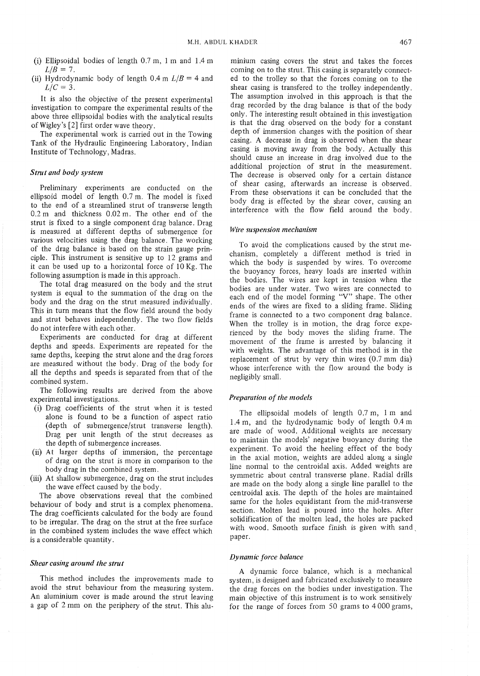- (i) Ellipsoidal bodies of length  $0.7$  m, 1 m and  $1.4$  m  $L/B = 7$ .
- (ii) Hydrodynamic body of length  $0.4$  m  $L/B = 4$  and  $L/C = 3$ .

It is also the objective of the present experimental investigation to compare the experimental results of the above three ellipsoidal bodies with the analytical results ofWigley's [2] first order wave theory.

The experimental work is carried out in the Towing Tank of the Hydraulic Engineering Laboratory, Indian Institute of Technology, Madras.

## *Strut and body system*

Preliminary experiments are conducted on the ellipsoid model of length 0.7 m. The model is fixed to the end of a streamlined strut of transverse length 0.2 m and thickness 0.02 m. The other end of the strut is fixed to a single component drag balance. Drag is measured at different depths of submergence for various velocities using the drag balance. The working of the drag balance is based on the strain gauge principle. This instrument is sensitive up to 12 grams and it can be used up to a horizontal force of 10 Kg. The following assumption is made in this approach.

The total drag measured on the body and the strut system is equal to the summation of the drag on the body and the drag on the strut measured individually. This in turn means that the flow field around the body and strut behaves independently. The two flow fields do not interfere with each other.

Experiments are conducted for drag at different depths and speeds. Experiments are repeated for the same depths, keeping the strut alone and the drag forces are measured without the body. Drag of the body for aIl the depths and speeds is separated from that of the combined system.

The following results are derived from the above experimental investigations.

- (i) Drag coefficients of the strut when it is tested alone is found to be a function of aspect ratio (depth of submergence/strut transverse length). Drag per unit length of the strut decreases as the depth of submergence increases.
- $(ii)$  At larger depths of immersion, the percentage of drag on the strut is more in comparison to the body drag in the combined system.
- (iii) At shallow submergence, drag on the strut includes the wave effect caused by the body.

The above observations reveal that the combined behaviour of body and strut is a complex phenomena. The drag coefficients calculated for the body are found to be irregular. The drag on the strut at the free surface in the combined system includes the wave effect which is a considerable quantity.

#### *Shear casing around the strut*

This method includes the improvements made to avoid the strut behaviour from the measuring system. An aluminium coyer is made around the strut leaving a gap of 2 mm on the periphery of the strut. This alu-

minium casing covers the strut and takes the forces coming on to the strut. This casing is separately connected to the trolley so that the forces coming on to the shear casing is transfered to the trolley independently. The assumption involved in this approach is that the drag recorded by the drag balance is that of the body only. The interesting result obtained in this investigation is that the drag observed on the body for a constant depth of immersion changes with the position of shear casing. A decrease in drag is observed when the shear casing is moving away from the body. Actually this should cause an increase in drag involved due to the additional projection of strut in the measurement. The decrease is observed only for a certain distance of shear casing, afterwards an increase is observed. From these observations it can be concluded that the body drag is effected by the shear cover, causing an interference with the flow field around the body.

## *Wire suspension mechanism*

To avoid the complications caused by the strut mechanism, completely a different method is tried in which the body is suspended by wires. To overcome the buoyancy forces, heavy loads are inserted within the bodies. The wires are kept in tension when the bodies are under water. Two wires are connected to each end of the model forming "V" shape. The other ends of the wires are fixed to a sliding frame. Sliding frame is connected to a two component drag balance. When the trolley is in motion, the drag force experienced by the body moves the sliding frame. The movement of the frame is arrested by balancing it with weights. The advantage of this method is in the replacement of strut by very thin wires (0.7 mm dia) whose interference with the flow around the body is negligibly small.

#### *Preparation of the models*

The ellipsoidal models of length 0.7 m, 1 m and 1.4 m, and the hydrodynamic body of length 0.4 m are made of wood. Additional weights are necessary to maintain the models' negative buoyancy during the experiment. To avoid the heeling effect of the body in the axial motion, weights are addeù alung a single line normal to the centroidal axis. Added weights are symmetric about central transverse plane. Radial drills are made on the body along a single line parallel to the centroidal axis. The depth of the holes are maintained same for the holes equidistant from the mid-transverse section. Molten lead is poured into the holes. After solidification of the molten lead, the holes are packed with wood. Smooth surface finish is given with sand paper.

#### *Dynamic force balance*

A dynamic force balance, which is a mechanical system, is designed and fabricated exclusively to measure the drag forces on the bodies under investigation. The main objective of this instrument is to work sensitively for the range of forces from 50 grams to 4000 grams,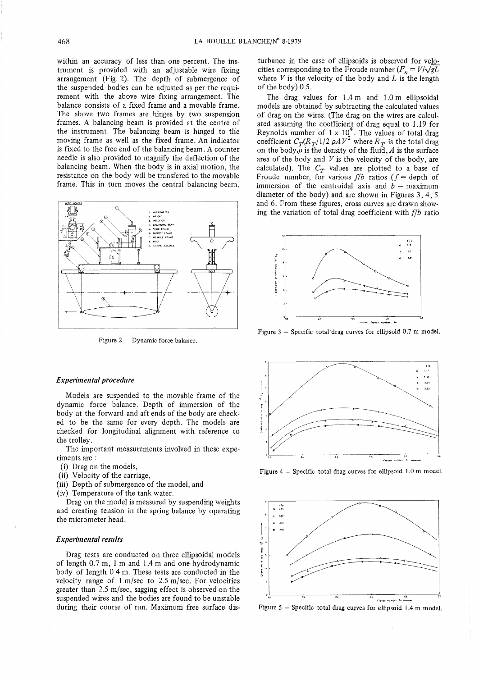within an accuracy of less than one percent. The instrument is provided with an adjustable wire fixing arrangement (Fig. 2). The depth of submergence of the suspended bodies can be adjusted as per the requirement with the above wire fixing arrangement. The balance consists of a fixed frame and a movable frame. The above two frames are hinges by two suspension frames. A balancing beam is provided at the centre of the instrument. The balancing beam is hinged to the moving frame as weIl as the fixed frame. An indicator is fixed to the free end of the balancing beam. A counter needle is also provided to magnify the deflection of the balancing beam. When the body is in axial motion, the resistance on the body will be transfered to the movable frame. This in turn moves the central balancing beam.



Figure  $2 -$  Dynamic force balance.

## *Experimental procedure*

Models are suspended to the movable frame of the dynamic force balance. Depth of immersion of the body at the forward and aft ends of the body are checked to be the same for every depth. Thc models are checked for longitudinal alignment with reference to the trolley.

The important measurements involved in these experiments are:

- (i) Drag on the models,
- (ii) Velocity of the carriage,
- (iii) Depth of submergence of the model, and
- (iv) Temperature of the tank water.

Drag on the model is measured by suspending weights and creating tension in the spring balance by operating the micrometer head.

## *Experimental results*

Drag tests are conducted on three ellipsoidal models of length  $0.7$  m, 1 m and 1.4 m and one hydrodynamic body of length 0.4 m. These tests are conducted in the velocity range of  $1 \text{ m/sec}$  to  $2.5 \text{ m/sec}$ . For velocities greater than  $2.5$  m/sec, sagging effect is observed on the suspended wires and the bodies are found to be unstable during their course of run. Maximum free surface dis-

turbance in the case of ellipsoids is observed for velocities corresponding to the Froude number  $(F_n = V/\sqrt{gL})$ where  $V$  is the velocity of the body and  $L$  is the length of the body) 0.5.

The drag values for 1.4 m and 1.0 m ellipsoidal models are obtained by subtracting the calculated values of drag on the wires. (The drag on the wires are calculated assuming the coefficient of drag equal to 1.19 for Reynolds number of  $1 \times 10^4$ . The values of total drag coefficient  $C_T (R_T/1/2 \rho A V^2)$  where  $R_T$  is the total drag on the body, $\rho$  is the density of the fluid, *A* is the surface area of the body and *V* is the velocity of the body, are calculated). The  $C_T$  values are plotted to a base of Froude number, for various  $f/b$  ratios ( $f =$  depth of immersion of the centroidal axis and  $b =$  maximum diameter of the body) and are shown in Figures 3, 4, 5 and 6. From these figures, cross curves are drawn showing the variation of total drag coefficient with *f/b* ratio



Figure  $3$  – Specific total drag curves for ellipsoid 0.7 m model.



Figure 4 - Specific total drag curves for ellipsoid 1.0 m model.



Figure  $5$  – Specific total drag curves for ellipsoid 1.4 m model.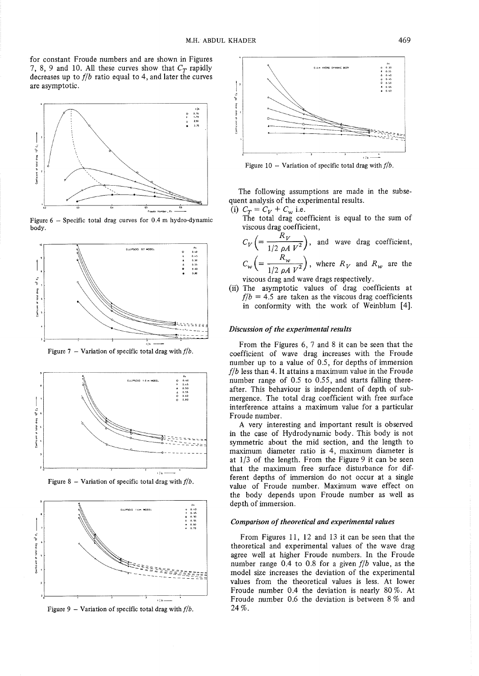for constant Froude numbers and are shown in Figures 7, 8, 9 and 10. All these curves show that  $C_T$  rapidly decreases up to  $f/b$  ratio equal to 4, and later the curves are asymptotic.



Figure  $6$  - Specific total drag curves for 0.4 m hydro-dynamic body.



Figure 7 - Variation of specific total drag with  $f/b$ .



Figure 8 - Variation of specific total drag with  $f/b$ .



Figure 9 - Variation of specific total drag with  $f/b$ .



Figure  $10$  – Variation of specific total drag with  $f/b$ .

The following assumptions are made in the subsequent analysis of the experimental results.

(i)  $C_T = C_V + C_w$  i.e.

The total drag coefficient is equal to the sum of viscous drag coefficient,

$$
C_V \left( = \frac{R_V}{1/2 \rho A V^2} \right), \text{ and wave drag coefficient,}
$$
  

$$
C_W \left( = \frac{R_W}{1/2 \rho A V^2} \right), \text{ where } R_V \text{ and } R_W \text{ are the}
$$

viscous drag and wave drags respectively.

(ii) The asymptotic values of drag coefficients at  $f/b = 4.5$  are taken as the viscous drag coefficients in conformity with the work of Weinblum [4].

# *Discussion of the experimental results*

From the Figures 6, 7 and 8 it can be seen that the coefficient of wave drag increases with the Froude number up to a value of 0.5, for depths of immersion *flb* less than 4. It attains a maximum value in the Froude number range of 0.5 to 0.55, and starts falling thereafter. This behaviour is independent of depth of submergence. The total drag coefficient with free surface interference attains a maximum value for a particular Froude number.

A very interesting and important result is observed in the case of Hydrodynamic body. This body is not symmetric about the mid section, and the length to maximum diameter ratio is 4, maximum diameter is at  $1/3$  of the length. From the Figure 9 it can be seen that the maximum free surface disturbance for different depths of immersion do not occur at a single value of Froude number. Maximum wave effect on the body depends upon Froude number as well as depth of immersion.

## *Comparison of theoretical and experimental values*

From Figures Il, 12 and 13 it can be seen that the theoretical and experimental values of the wave drag agree well at higher Froude numbers. In the Froude number range 0.4 to 0.8 for a given *flb* value, as the model size increases the deviation of the experimental values from the theoretical values is less. At lower Froude number 0.4 the deviation is nearly 80 %. At Froude number 0.6 the deviation is between 8 % and 24%.